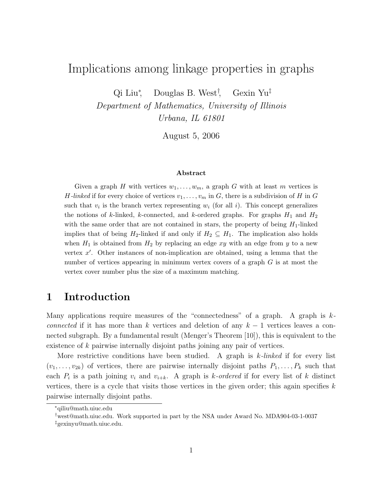# Implications among linkage properties in graphs

Qi Liu<sup>∗</sup> , Douglas B. West† , Gexin Yu ‡

Department of Mathematics, University of Illinois Urbana, IL 61801

August 5, 2006

#### Abstract

Given a graph H with vertices  $w_1, \ldots, w_m$ , a graph G with at least m vertices is H-linked if for every choice of vertices  $v_1, \ldots, v_m$  in G, there is a subdivision of H in G such that  $v_i$  is the branch vertex representing  $w_i$  (for all i). This concept generalizes the notions of k-linked, k-connected, and k-ordered graphs. For graphs  $H_1$  and  $H_2$ with the same order that are not contained in stars, the property of being  $H_1$ -linked implies that of being  $H_2$ -linked if and only if  $H_2 \subseteq H_1$ . The implication also holds when  $H_1$  is obtained from  $H_2$  by replacing an edge xy with an edge from y to a new vertex  $x'$ . Other instances of non-implication are obtained, using a lemma that the number of vertices appearing in minimum vertex covers of a graph  $G$  is at most the vertex cover number plus the size of a maximum matching.

## 1 Introduction

Many applications require measures of the "connectedness" of a graph. A graph is  $k$ connected if it has more than k vertices and deletion of any  $k-1$  vertices leaves a connected subgraph. By a fundamental result (Menger's Theorem [10]), this is equivalent to the existence of k pairwise internally disjoint paths joining any pair of vertices.

More restrictive conditions have been studied. A graph is  $k$ -linked if for every list  $(v_1, \ldots, v_{2k})$  of vertices, there are pairwise internally disjoint paths  $P_1, \ldots, P_k$  such that each  $P_i$  is a path joining  $v_i$  and  $v_{i+k}$ . A graph is k-ordered if for every list of k distinct vertices, there is a cycle that visits those vertices in the given order; this again specifies  $k$ pairwise internally disjoint paths.

<sup>∗</sup>qiliu@math.uiuc.edu

<sup>†</sup>west@math.uiuc.edu. Work supported in part by the NSA under Award No. MDA904-03-1-0037

<sup>‡</sup>gexinyu@math.uiuc.edu.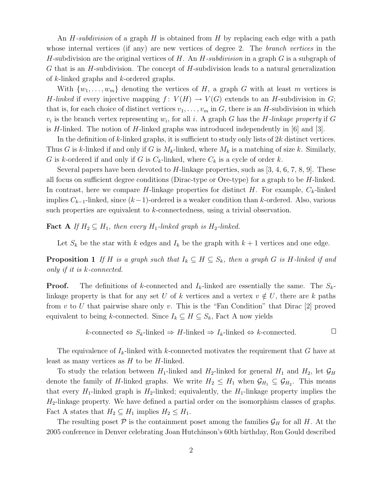An  $H$ -subdivision of a graph  $H$  is obtained from  $H$  by replacing each edge with a path whose internal vertices (if any) are new vertices of degree 2. The *branch vertices* in the H-subdivision are the original vertices of H. An  $H$ -subdivision in a graph G is a subgraph of G that is an  $H$ -subdivision. The concept of  $H$ -subdivision leads to a natural generalization of k-linked graphs and k-ordered graphs.

With  $\{w_1, \ldots, w_m\}$  denoting the vertices of H, a graph G with at least m vertices is H-linked if every injective mapping  $f: V(H) \to V(G)$  extends to an H-subdivision in G; that is, for each choice of distinct vertices  $v_1, \ldots, v_m$  in G, there is an H-subdivision in which  $v_i$  is the branch vertex representing  $w_i$ , for all i. A graph G has the H-linkage property if G is H-linked. The notion of H-linked graphs was introduced independently in  $[6]$  and  $[3]$ .

In the definition of  $k$ -linked graphs, it is sufficient to study only lists of  $2k$  distinct vertices. Thus G is k-linked if and only if G is  $M_k$ -linked, where  $M_k$  is a matching of size k. Similarly, G is k-ordered if and only if G is  $C_k$ -linked, where  $C_k$  is a cycle of order k.

Several papers have been devoted to  $H$ -linkage properties, such as [3, 4, 6, 7, 8, 9]. These all focus on sufficient degree conditions (Dirac-type or Ore-type) for a graph to be  $H$ -linked. In contrast, here we compare H-linkage properties for distinct H. For example,  $C_k$ -linked implies  $C_{k-1}$ -linked, since  $(k-1)$ -ordered is a weaker condition than k-ordered. Also, various such properties are equivalent to k-connectedness, using a trivial observation.

**Fact** A If  $H_2 \subseteq H_1$ , then every  $H_1$ -linked graph is  $H_2$ -linked.

Let  $S_k$  be the star with k edges and  $I_k$  be the graph with  $k+1$  vertices and one edge.

**Proposition 1** If H is a graph such that  $I_k \subseteq H \subseteq S_k$ , then a graph G is H-linked if and only if it is k-connected.

**Proof.** The definitions of k-connected and  $I_k$ -linked are essentially the same. The  $S_k$ linkage property is that for any set U of k vertices and a vertex  $v \notin U$ , there are k paths from  $v$  to  $U$  that pairwise share only  $v$ . This is the "Fan Condition" that Dirac [2] proved equivalent to being k-connected. Since  $I_k \subseteq H \subseteq S_k$ , Fact A now yields

k-connected 
$$
\Leftrightarrow S_k
$$
-linked  $\Rightarrow H$ -linked  $\Rightarrow I_k$ -linked  $\Leftrightarrow k$ -connected.

The equivalence of  $I_k$ -linked with k-connected motivates the requirement that G have at least as many vertices as  $H$  to be  $H$ -linked.

To study the relation between  $H_1$ -linked and  $H_2$ -linked for general  $H_1$  and  $H_2$ , let  $\mathcal{G}_H$ denote the family of H-linked graphs. We write  $H_2 \le H_1$  when  $\mathcal{G}_{H_1} \subseteq \mathcal{G}_{H_2}$ . This means that every  $H_1$ -linked graph is  $H_2$ -linked; equivalently, the  $H_1$ -linkage property implies the  $H_2$ -linkage property. We have defined a partial order on the isomorphism classes of graphs. Fact A states that  $H_2 \subseteq H_1$  implies  $H_2 \leq H_1$ .

The resulting poset  $P$  is the containment poset among the families  $\mathcal{G}_H$  for all H. At the 2005 conference in Denver celebrating Joan Hutchinson's 60th birthday, Ron Gould described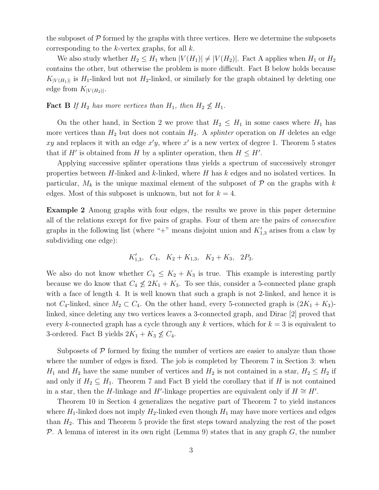the subposet of  $\mathcal P$  formed by the graphs with three vertices. Here we determine the subposets corresponding to the  $k$ -vertex graphs, for all  $k$ .

We also study whether  $H_2 \leq H_1$  when  $|V(H_1)| \neq |V(H_2)|$ . Fact A applies when  $H_1$  or  $H_2$ contains the other, but otherwise the problem is more difficult. Fact B below holds because  $K_{|V(H_1)|}$  is H<sub>1</sub>-linked but not H<sub>2</sub>-linked, or similarly for the graph obtained by deleting one edge from  $K_{|V(H_2)|}$ .

#### **Fact B** If  $H_2$  has more vertices than  $H_1$ , then  $H_2 \nleq H_1$ .

On the other hand, in Section 2 we prove that  $H_2 \leq H_1$  in some cases where  $H_1$  has more vertices than  $H_2$  but does not contain  $H_2$ . A *splinter* operation on H deletes an edge xy and replaces it with an edge  $x'y$ , where x' is a new vertex of degree 1. Theorem 5 states that if H' is obtained from H by a splinter operation, then  $H \leq H'$ .

Applying successive splinter operations thus yields a spectrum of successively stronger properties between H-linked and k-linked, where H has k edges and no isolated vertices. In particular,  $M_k$  is the unique maximal element of the subposet of  $P$  on the graphs with k edges. Most of this subposet is unknown, but not for  $k = 4$ .

Example 2 Among graphs with four edges, the results we prove in this paper determine all of the relations except for five pairs of graphs. Four of them are the pairs of consecutive graphs in the following list (where "+" means disjoint union and  $K'_{1,3}$  arises from a claw by subdividing one edge):

$$
K'_{1,3}
$$
,  $C_4$ ,  $K_2 + K_{1,3}$ ,  $K_2 + K_3$ ,  $2P_3$ .

We also do not know whether  $C_4 \leq K_2 + K_3$  is true. This example is interesting partly because we do know that  $C_4 \not\leq 2K_1 + K_3$ . To see this, consider a 5-connected plane graph with a face of length 4. It is well known that such a graph is not 2-linked, and hence it is not  $C_4$ -linked, since  $M_2 \subset C_4$ . On the other hand, every 5-connected graph is  $(2K_1 + K_3)$ linked, since deleting any two vertices leaves a 3-connected graph, and Dirac [2] proved that every k-connected graph has a cycle through any k vertices, which for  $k = 3$  is equivalent to 3-ordered. Fact B yields  $2K_1 + K_3 \nleq C_4$ .

Subposets of  $P$  formed by fixing the number of vertices are easier to analyze than those where the number of edges is fixed. The job is completed by Theorem 7 in Section 3: when  $H_1$  and  $H_2$  have the same number of vertices and  $H_2$  is not contained in a star,  $H_2 \leq H_2$  if and only if  $H_2 \subseteq H_1$ . Theorem 7 and Fact B yield the corollary that if H is not contained in a star, then the H-linkage and H'-linkage properties are equivalent only if  $H \cong H'$ .

Theorem 10 in Section 4 generalizes the negative part of Theorem 7 to yield instances where  $H_1$ -linked does not imply  $H_2$ -linked even though  $H_1$  may have more vertices and edges than  $H_2$ . This and Theorem 5 provide the first steps toward analyzing the rest of the poset P. A lemma of interest in its own right (Lemma 9) states that in any graph  $G$ , the number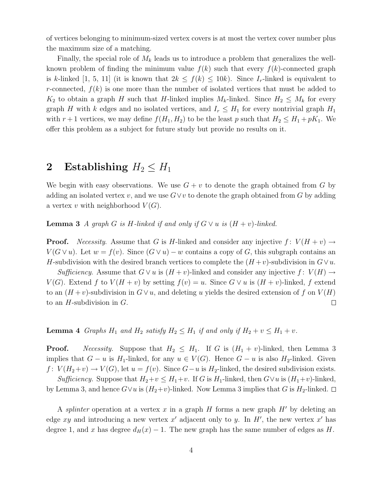of vertices belonging to minimum-sized vertex covers is at most the vertex cover number plus the maximum size of a matching.

Finally, the special role of  $M_k$  leads us to introduce a problem that generalizes the wellknown problem of finding the minimum value  $f(k)$  such that every  $f(k)$ -connected graph is k-linked [1, 5, 11] (it is known that  $2k \le f(k) \le 10k$ ). Since  $I_r$ -linked is equivalent to r-connected,  $f(k)$  is one more than the number of isolated vertices that must be added to  $K_2$  to obtain a graph H such that H-linked implies  $M_k$ -linked. Since  $H_2 \leq M_k$  for every graph H with k edges and no isolated vertices, and  $I_r \leq H_1$  for every nontrivial graph  $H_1$ with  $r+1$  vertices, we may define  $f(H_1, H_2)$  to be the least p such that  $H_2 \leq H_1 + pK_1$ . We offer this problem as a subject for future study but provide no results on it.

# 2 Establishing  $H_2 \leq H_1$

We begin with easy observations. We use  $G + v$  to denote the graph obtained from G by adding an isolated vertex v, and we use  $G\vee v$  to denote the graph obtained from G by adding a vertex v with neighborhood  $V(G)$ .

**Lemma 3** A graph G is H-linked if and only if  $G \vee u$  is  $(H + v)$ -linked.

**Proof.** Necessity. Assume that G is H-linked and consider any injective  $f: V(H + v) \rightarrow$  $V(G \vee u)$ . Let  $w = f(v)$ . Since  $(G \vee u) - w$  contains a copy of G, this subgraph contains an H-subdivision with the desired branch vertices to complete the  $(H + v)$ -subdivision in  $G \vee u$ .

Sufficiency. Assume that  $G \vee u$  is  $(H + v)$ -linked and consider any injective  $f: V(H) \rightarrow$  $V(G)$ . Extend f to  $V(H + v)$  by setting  $f(v) = u$ . Since  $G \vee u$  is  $(H + v)$ -linked, f extend to an  $(H + v)$ -subdivision in  $G \vee u$ , and deleting u yields the desired extension of f on  $V(H)$ to an  $H$ -subdivision in  $G$ .  $\Box$ 

**Lemma 4** Graphs  $H_1$  and  $H_2$  satisfy  $H_2 \leq H_1$  if and only if  $H_2 + v \leq H_1 + v$ .

**Proof.** Necessity. Suppose that  $H_2 \nleq H_1$ . If G is  $(H_1 + v)$ -linked, then Lemma 3 implies that  $G - u$  is  $H_1$ -linked, for any  $u \in V(G)$ . Hence  $G - u$  is also  $H_2$ -linked. Given  $f: V(H_2+v) \to V(G)$ , let  $u = f(v)$ . Since  $G-u$  is  $H_2$ -linked, the desired subdivision exists.

Sufficiency. Suppose that  $H_2+v \leq H_1+v$ . If G is  $H_1$ -linked, then  $G\vee u$  is  $(H_1+v)$ -linked, by Lemma 3, and hence  $G\vee u$  is  $(H_2+v)$ -linked. Now Lemma 3 implies that G is  $H_2$ -linked.  $\Box$ 

A splinter operation at a vertex x in a graph H forms a new graph  $H'$  by deleting an edge xy and introducing a new vertex  $x'$  adjacent only to y. In  $H'$ , the new vertex  $x'$  has degree 1, and x has degree  $d_H(x) - 1$ . The new graph has the same number of edges as H.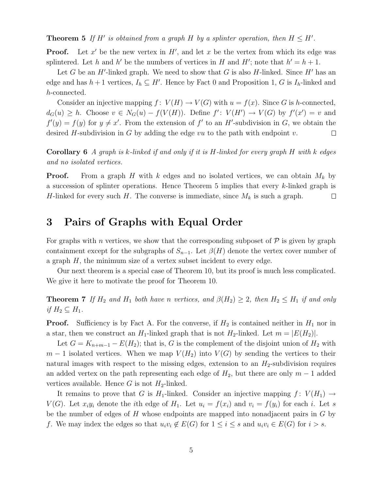**Theorem 5** If H' is obtained from a graph H by a splinter operation, then  $H \leq H'$ .

**Proof.** Let  $x'$  be the new vertex in  $H'$ , and let x be the vertex from which its edge was splintered. Let h and h' be the numbers of vertices in H and H'; note that  $h' = h + 1$ .

Let G be an  $H'$ -linked graph. We need to show that G is also H-linked. Since  $H'$  has an edge and has  $h+1$  vertices,  $I_h \subseteq H'$ . Hence by Fact 0 and Proposition 1, G is  $I_h$ -linked and h-connected.

Consider an injective mapping  $f: V(H) \to V(G)$  with  $u = f(x)$ . Since G is h-connected,  $d_G(u) \geq h$ . Choose  $v \in N_G(u) - f(V(H))$ . Define  $f' : V(H') \to V(G)$  by  $f'(x') = v$  and  $f'(y) = f(y)$  for  $y \neq x'$ . From the extension of f' to an H'-subdivision in G, we obtain the desired H-subdivision in G by adding the edge vu to the path with endpoint v.  $\Box$ 

**Corollary 6** A graph is k-linked if and only if it is H-linked for every graph H with k edges and no isolated vertices.

**Proof.** From a graph H with k edges and no isolated vertices, we can obtain  $M_k$  by a succession of splinter operations. Hence Theorem 5 implies that every k-linked graph is H-linked for every such H. The converse is immediate, since  $M_k$  is such a graph.  $\Box$ 

# 3 Pairs of Graphs with Equal Order

For graphs with n vertices, we show that the corresponding subposet of  $\mathcal P$  is given by graph containment except for the subgraphs of  $S_{n-1}$ . Let  $\beta(H)$  denote the vertex cover number of a graph  $H$ , the minimum size of a vertex subset incident to every edge.

Our next theorem is a special case of Theorem 10, but its proof is much less complicated. We give it here to motivate the proof for Theorem 10.

**Theorem 7** If  $H_2$  and  $H_1$  both have n vertices, and  $\beta(H_2) \geq 2$ , then  $H_2 \leq H_1$  if and only if  $H_2 \subseteq H_1$ .

**Proof.** Sufficiency is by Fact A. For the converse, if  $H_2$  is contained neither in  $H_1$  nor in a star, then we construct an  $H_1$ -linked graph that is not  $H_2$ -linked. Let  $m = |E(H_2)|$ .

Let  $G = K_{n+m-1} - E(H_2)$ ; that is, G is the complement of the disjoint union of  $H_2$  with  $m-1$  isolated vertices. When we map  $V(H_2)$  into  $V(G)$  by sending the vertices to their natural images with respect to the missing edges, extension to an  $H_2$ -subdivision requires an added vertex on the path representing each edge of  $H_2$ , but there are only  $m-1$  added vertices available. Hence G is not  $H_2$ -linked.

It remains to prove that G is H<sub>1</sub>-linked. Consider an injective mapping  $f: V(H_1) \rightarrow$  $V(G)$ . Let  $x_iy_i$  denote the *i*th edge of  $H_1$ . Let  $u_i = f(x_i)$  and  $v_i = f(y_i)$  for each *i*. Let *s* be the number of edges of  $H$  whose endpoints are mapped into nonadjacent pairs in  $G$  by f. We may index the edges so that  $u_i v_i \notin E(G)$  for  $1 \leq i \leq s$  and  $u_i v_i \in E(G)$  for  $i > s$ .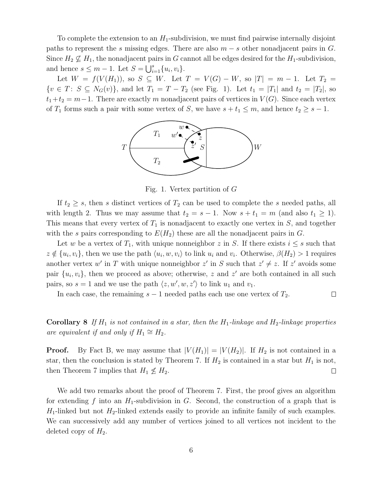To complete the extension to an  $H_1$ -subdivision, we must find pairwise internally disjoint paths to represent the s missing edges. There are also  $m - s$  other nonadjacent pairs in G. Since  $H_2 \nsubseteq H_1$ , the nonadjacent pairs in G cannot all be edges desired for the  $H_1$ -subdivision, and hence  $s \leq m - 1$ . Let  $S = \bigcup_{i=1}^{s} \{u_i, v_i\}$ .

Let  $W = f(V(H_1))$ , so  $S \subseteq W$ . Let  $T = V(G) - W$ , so  $|T| = m - 1$ . Let  $T_2 =$  $\{v \in T: S \subseteq N_G(v)\}\$ , and let  $T_1 = T - T_2$  (see Fig. 1). Let  $t_1 = |T_1|$  and  $t_2 = |T_2|$ , so  $t_1+t_2 = m-1$ . There are exactly m nonadjacent pairs of vertices in  $V(G)$ . Since each vertex of  $T_1$  forms such a pair with some vertex of S, we have  $s + t_1 \leq m$ , and hence  $t_2 \geq s - 1$ .



Fig. 1. Vertex partition of G

If  $t_2 \geq s$ , then s distinct vertices of  $T_2$  can be used to complete the s needed paths, all with length 2. Thus we may assume that  $t_2 = s - 1$ . Now  $s + t_1 = m$  (and also  $t_1 \ge 1$ ). This means that every vertex of  $T_1$  is nonadjacent to exactly one vertex in  $S$ , and together with the s pairs corresponding to  $E(H_2)$  these are all the nonadjacent pairs in G.

Let w be a vertex of  $T_1$ , with unique nonneighbor z in S. If there exists  $i \leq s$  such that  $z \notin \{u_i, v_i\}$ , then we use the path  $\langle u_i, w, v_i \rangle$  to link  $u_i$  and  $v_i$ . Otherwise,  $\beta(H_2) > 1$  requires another vertex w' in T with unique nonneighbor z' in S such that  $z' \neq z$ . If z' avoids some pair  $\{u_i, v_i\}$ , then we proceed as above; otherwise, z and z' are both contained in all such pairs, so  $s = 1$  and we use the path  $\langle z, w', w, z' \rangle$  to link  $u_1$  and  $v_1$ .

In each case, the remaining  $s - 1$  needed paths each use one vertex of  $T_2$ .  $\Box$ 

**Corollary 8** If  $H_1$  is not contained in a star, then the  $H_1$ -linkage and  $H_2$ -linkage properties are equivalent if and only if  $H_1 \cong H_2$ .

**Proof.** By Fact B, we may assume that  $|V(H_1)| = |V(H_2)|$ . If  $H_2$  is not contained in a star, then the conclusion is stated by Theorem 7. If  $H_2$  is contained in a star but  $H_1$  is not, then Theorem 7 implies that  $H_1 \nleq H_2$ .  $\Box$ 

We add two remarks about the proof of Theorem 7. First, the proof gives an algorithm for extending f into an  $H_1$ -subdivision in G. Second, the construction of a graph that is  $H_1$ -linked but not  $H_2$ -linked extends easily to provide an infinite family of such examples. We can successively add any number of vertices joined to all vertices not incident to the deleted copy of  $H_2$ .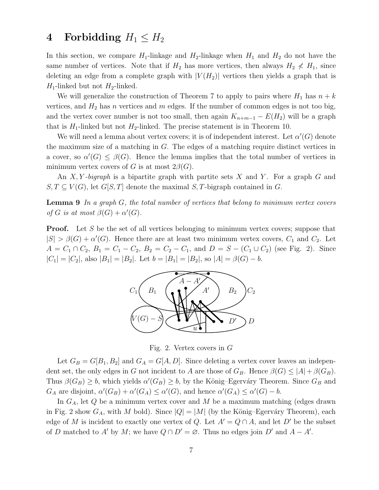## 4 Forbidding  $H_1 \leq H_2$

In this section, we compare  $H_1$ -linkage and  $H_2$ -linkage when  $H_1$  and  $H_2$  do not have the same number of vertices. Note that if  $H_2$  has more vertices, then always  $H_2 \nless H_1$ , since deleting an edge from a complete graph with  $|V(H_2)|$  vertices then yields a graph that is  $H_1$ -linked but not  $H_2$ -linked.

We will generalize the construction of Theorem 7 to apply to pairs where  $H_1$  has  $n + k$ vertices, and  $H_2$  has n vertices and m edges. If the number of common edges is not too big, and the vertex cover number is not too small, then again  $K_{n+m-1} - E(H_2)$  will be a graph that is  $H_1$ -linked but not  $H_2$ -linked. The precise statement is in Theorem 10.

We will need a lemma about vertex covers; it is of independent interest. Let  $\alpha'(G)$  denote the maximum size of a matching in G. The edges of a matching require distinct vertices in a cover, so  $\alpha'(G) \leq \beta(G)$ . Hence the lemma implies that the total number of vertices in minimum vertex covers of G is at most  $2\beta(G)$ .

An X, Y-bigraph is a bipartite graph with partite sets X and Y. For a graph G and  $S, T \subseteq V(G)$ , let  $G[S, T]$  denote the maximal  $S, T$ -bigraph contained in G.

**Lemma 9** In a graph  $G$ , the total number of vertices that belong to minimum vertex covers of G is at most  $\beta(G) + \alpha'(G)$ .

**Proof.** Let S be the set of all vertices belonging to minimum vertex covers; suppose that  $|S| > \beta(G) + \alpha'(G)$ . Hence there are at least two minimum vertex covers,  $C_1$  and  $C_2$ . Let  $A = C_1 \cap C_2$ ,  $B_1 = C_1 - C_2$ ,  $B_2 = C_2 - C_1$ , and  $D = S - (C_1 \cup C_2)$  (see Fig. 2). Since  $|C_1| = |C_2|$ , also  $|B_1| = |B_2|$ . Let  $b = |B_1| = |B_2|$ , so  $|A| = \beta(G) - b$ .



Fig. 2. Vertex covers in G

Let  $G_B = G[B_1, B_2]$  and  $G_A = G[A, D]$ . Since deleting a vertex cover leaves an independent set, the only edges in G not incident to A are those of  $G_B$ . Hence  $\beta(G) \leq |A| + \beta(G_B)$ . Thus  $\beta(G_B) \geq b$ , which yields  $\alpha'(G_B) \geq b$ , by the König–Egerváry Theorem. Since  $G_B$  and  $G_A$  are disjoint,  $\alpha'(G_B) + \alpha'(G_A) \leq \alpha'(G)$ , and hence  $\alpha'(G_A) \leq \alpha'(G) - b$ .

In  $G_A$ , let Q be a minimum vertex cover and M be a maximum matching (edges drawn in Fig. 2 show  $G_A$ , with M bold). Since  $|Q| = |M|$  (by the König–Egerváry Theorem), each edge of M is incident to exactly one vertex of Q. Let  $A' = Q \cap A$ , and let D' be the subset of D matched to A' by M; we have  $Q \cap D' = \emptyset$ . Thus no edges join D' and  $A - A'$ .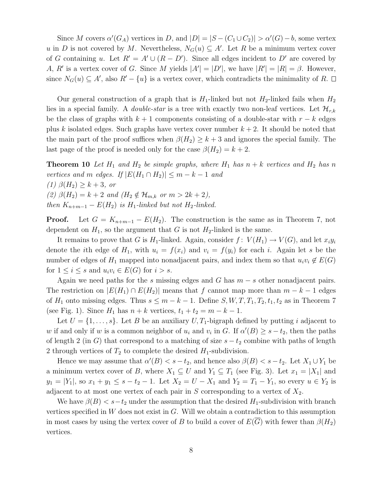Since M covers  $\alpha'(G_A)$  vertices in D, and  $|D| = |S - (C_1 \cup C_2)| > \alpha'(G) - b$ , some vertex u in D is not covered by M. Nevertheless,  $N_G(u) \subseteq A'$ . Let R be a minimum vertex cover of G containing u. Let  $R' = A' \cup (R - D')$ . Since all edges incident to D' are covered by A, R' is a vertex cover of G. Since M yields  $|A'| = |D'|$ , we have  $|R'| = |R| = \beta$ . However, since  $N_G(u) \subseteq A'$ , also  $R' - \{u\}$  is a vertex cover, which contradicts the minimality of R.

Our general construction of a graph that is  $H_1$ -linked but not  $H_2$ -linked fails when  $H_2$ lies in a special family. A *double-star* is a tree with exactly two non-leaf vertices. Let  $\mathcal{H}_{r,k}$ be the class of graphs with  $k + 1$  components consisting of a double-star with  $r - k$  edges plus k isolated edges. Such graphs have vertex cover number  $k + 2$ . It should be noted that the main part of the proof suffices when  $\beta(H_2) \geq k+3$  and ignores the special family. The last page of the proof is needed only for the case  $\beta(H_2) = k + 2$ .

**Theorem 10** Let  $H_1$  and  $H_2$  be simple graphs, where  $H_1$  has  $n + k$  vertices and  $H_2$  has n vertices and m edges. If  $|E(H_1 \cap H_2)| \leq m - k - 1$  and  $(1)$   $\beta(H_2) \geq k+3$ , or (2)  $\beta(H_2) = k + 2$  and  $(H_2 \notin \mathcal{H}_{m,k} \text{ or } m > 2k + 2),$ then  $K_{n+m-1} - E(H_2)$  is  $H_1$ -linked but not  $H_2$ -linked.

**Proof.** Let  $G = K_{n+m-1} - E(H_2)$ . The construction is the same as in Theorem 7, not dependent on  $H_1$ , so the argument that G is not  $H_2$ -linked is the same.

It remains to prove that G is  $H_1$ -linked. Again, consider  $f: V(H_1) \to V(G)$ , and let  $x_i y_i$ denote the *i*th edge of  $H_1$ , with  $u_i = f(x_i)$  and  $v_i = f(y_i)$  for each *i*. Again let *s* be the number of edges of  $H_1$  mapped into nonadjacent pairs, and index them so that  $u_i v_i \notin E(G)$ for  $1 \leq i \leq s$  and  $u_i v_i \in E(G)$  for  $i > s$ .

Again we need paths for the s missing edges and G has  $m - s$  other nonadjacent pairs. The restriction on  $|E(H_1) \cap E(H_2)|$  means that f cannot map more than  $m - k - 1$  edges of  $H_1$  onto missing edges. Thus  $s \leq m - k - 1$ . Define  $S, W, T, T_1, T_2, t_1, t_2$  as in Theorem 7 (see Fig. 1). Since  $H_1$  has  $n + k$  vertices,  $t_1 + t_2 = m - k - 1$ .

Let  $U = \{1, \ldots, s\}$ . Let B be an auxiliary  $U, T_1$ -bigraph defined by putting i adjacent to w if and only if w is a common neighbor of  $u_i$  and  $v_i$  in G. If  $\alpha'(B) \geq s - t_2$ , then the paths of length 2 (in G) that correspond to a matching of size  $s - t_2$  combine with paths of length 2 through vertices of  $T_2$  to complete the desired  $H_1$ -subdivision.

Hence we may assume that  $\alpha'(B) < s - t_2$ , and hence also  $\beta(B) < s - t_2$ . Let  $X_1 \cup Y_1$  be a minimum vertex cover of B, where  $X_1 \subseteq U$  and  $Y_1 \subseteq T_1$  (see Fig. 3). Let  $x_1 = |X_1|$  and  $y_1 = |Y_1|$ , so  $x_1 + y_1 \leq s - t_2 - 1$ . Let  $X_2 = U - X_1$  and  $Y_2 = T_1 - Y_1$ , so every  $u \in Y_2$  is adjacent to at most one vertex of each pair in  $S$  corresponding to a vertex of  $X_2$ .

We have  $\beta(B) < s-t_2$  under the assumption that the desired  $H_1$ -subdivision with branch vertices specified in  $W$  does not exist in  $G$ . Will we obtain a contradiction to this assumption in most cases by using the vertex cover of B to build a cover of  $E(\overline{G})$  with fewer than  $\beta(H_2)$ vertices.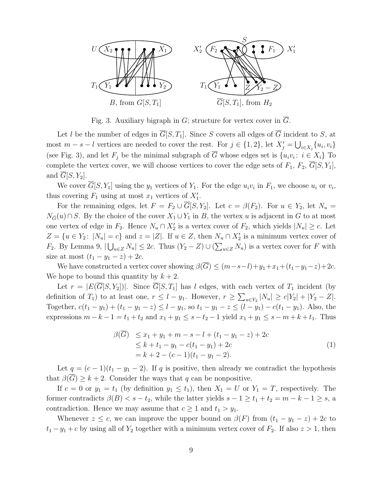

Fig. 3. Auxiliary bigraph in G; structure for vertex cover in  $\overline{G}$ .

Let l be the number of edges in  $\overline{G}[S,T_1]$ . Since S covers all edges of  $\overline{G}$  incident to S, at most  $m - s - l$  vertices are needed to cover the rest. For  $j \in \{1, 2\}$ , let  $X'_j = \bigcup_{i \in X_j} \{u_i, v_i\}$ (see Fig. 3), and let  $F_j$  be the minimal subgraph of G whose edges set is  $\{u_i v_i : i \in X_i\}$  To complete the vertex cover, we will choose vertices to cover the edge sets of  $F_1$ ,  $F_2$ ,  $\overline{G}[S, Y_1]$ , and  $G[S, Y_2]$ .

We cover  $G[S, Y_1]$  using the  $y_1$  vertices of  $Y_1$ . For the edge  $u_i v_i$  in  $F_1$ , we choose  $u_i$  or  $v_i$ , thus covering  $F_1$  using at most  $x_1$  vertices of  $X'_1$ .

For the remaining edges, let  $F = F_2 \cup \overline{G}[S, Y_2]$ . Let  $c = \beta(F_2)$ . For  $u \in Y_2$ , let  $N_u =$  $N_{\bar{G}}(u) \cap S$ . By the choice of the cover  $X_1 \cup Y_1$  in B, the vertex u is adjacent in G to at most one vertex of edge in  $F_2$ . Hence  $N_u \cap X'_2$  is a vertex cover of  $F_2$ , which yields  $|N_u| \geq c$ . Let  $Z = \{u \in Y_2: |N_u| = c\}$  and  $z = |Z|$ . If  $u \in Z$ , then  $N_u \cap X'_2$  is a minimum vertex cover of  $F_2$ . By Lemma 9,  $|\bigcup_{u\in Z} N_u| \leq 2c$ . Thus  $(Y_2 - Z) \cup (\sum_{u\in Z} N_u)$  is a vertex cover for F with size at most  $(t_1 - y_1 - z) + 2c$ .

We have constructed a vertex cover showing  $\beta(\overline{G}) \leq (m-s-l)+y_1+x_1+(t_1-y_1-z)+2c$ . We hope to bound this quantity by  $k + 2$ .

Let  $r = |E(\overline{G}[S, Y_2])|$ . Since  $\overline{G}[S, T_1]$  has l edges, with each vertex of  $T_1$  incident (by definition of  $T_1$ ) to at least one,  $r \leq l - y_1$ . However,  $r \geq \sum_{u \in Y_2} |N_u| \geq c|Y_2| + |Y_2 - Z|$ . Together,  $c(t_1 - y_1) + (t_1 - y_1 - z) \le l - y_1$ , so  $t_1 - y_1 - z \le (l - y_1) - c(t_1 - y_1)$ . Also, the expressions  $m - k - 1 = t_1 + t_2$  and  $x_1 + y_1 \leq s - t_2 - 1$  yield  $x_1 + y_1 \leq s - m + k + t_1$ . Thus

$$
\beta(\overline{G}) \le x_1 + y_1 + m - s - l + (t_1 - y_1 - z) + 2c
$$
  
\n
$$
\le k + t_1 - y_1 - c(t_1 - y_1) + 2c
$$
  
\n
$$
= k + 2 - (c - 1)(t_1 - y_1 - 2).
$$
\n(1)

Let  $q = (c-1)(t_1 - y_1 - 2)$ . If q is positive, then already we contradict the hypothesis that  $\beta(G) \geq k+2$ . Consider the ways that q can be nonpositive.

If  $c = 0$  or  $y_1 = t_1$  (by definition  $y_1 \le t_1$ ), then  $X_1 = U$  or  $Y_1 = T$ , respectively. The former contradicts  $\beta(B) < s - t_2$ , while the latter yields  $s - 1 \ge t_1 + t_2 = m - k - 1 \ge s$ , a contradiction. Hence we may assume that  $c \geq 1$  and  $t_1 > y_1$ .

Whenever  $z \leq c$ , we can improve the upper bound on  $\beta(F)$  from  $(t_1 - y_1 - z) + 2c$  to  $t_1 - y_1 + c$  by using all of  $Y_2$  together with a minimum vertex cover of  $F_2$ . If also  $z > 1$ , then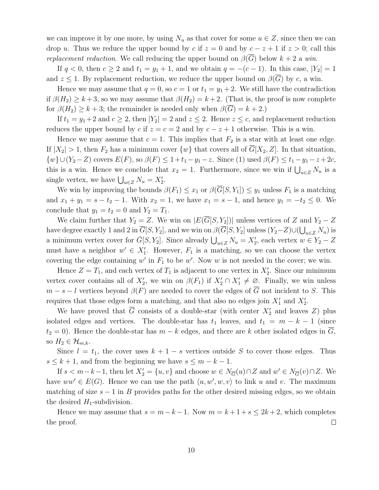we can improve it by one more, by using  $N_u$  as that cover for some  $u \in Z$ , since then we can drop u. Thus we reduce the upper bound by c if  $z = 0$  and by  $c - z + 1$  if  $z > 0$ ; call this *replacement reduction.* We call reducing the upper bound on  $\beta(G)$  below  $k + 2$  a win.

If  $q < 0$ , then  $c \ge 2$  and  $t_1 = y_1 + 1$ , and we obtain  $q = -(c-1)$ . In this case,  $|Y_2| = 1$ and  $z \leq 1$ . By replacement reduction, we reduce the upper bound on  $\beta(G)$  by c, a win.

Hence we may assume that  $q = 0$ , so  $c = 1$  or  $t_1 = y_1 + 2$ . We still have the contradiction if  $\beta(H_2) \geq k+3$ , so we may assume that  $\beta(H_2) = k+2$ . (That is, the proof is now complete for  $\beta(H_2) \geq k+3$ ; the remainder is needed only when  $\beta(\overline{G}) = k+2$ .)

If  $t_1 = y_1 + 2$  and  $c \ge 2$ , then  $|Y_2| = 2$  and  $z \le 2$ . Hence  $z \le c$ , and replacement reduction reduces the upper bound by c if  $z = c = 2$  and by  $c - z + 1$  otherwise. This is a win.

Hence we may assume that  $c = 1$ . This implies that  $F_2$  is a star with at least one edge. If  $|X_2| > 1$ , then  $F_2$  has a minimum cover  $\{w\}$  that covers all of  $\overline{G}[X_2, Z]$ . In that situation,  $\{w\}\cup (Y_2 - Z)$  covers  $E(F)$ , so  $\beta(F) \leq 1+t_1-y_1-z$ . Since (1) used  $\beta(F) \leq t_1-y_1-z+2c$ , this is a win. Hence we conclude that  $x_2 = 1$ . Furthermore, since we win if  $\bigcup_{u \in Z} N_u$  is a single vertex, we have  $\bigcup_{u \in Z} N_u = X'_2$ .

We win by improving the bounds  $\beta(F_1) \leq x_1$  or  $\beta(\overline{G}[S, Y_1]) \leq y_1$  unless  $F_1$  is a matching and  $x_1 + y_1 = s - t_2 - 1$ . With  $x_2 = 1$ , we have  $x_1 = s - 1$ , and hence  $y_1 = -t_2 \le 0$ . We conclude that  $y_1 = t_2 = 0$  and  $Y_2 = T_1$ .

We claim further that  $Y_2 = Z$ . We win on  $|E(\overline{G}[S, Y_2])|$  unless vertices of Z and  $Y_2 - Z$ have degree exactly 1 and 2 in  $G[S, Y_2]$ , and we win on  $\beta(G[S, Y_2]$  unless  $(Y_2 - Z) \cup (\bigcup_{u \in Z} N_u)$  is a minimum vertex cover for  $\bar{G}[S, Y_2]$ . Since already  $\bigcup_{u \in Z} N_u = X'_2$ , each vertex  $w \in Y_2 - Z$ must have a neighbor  $w' \in X'_1$ . However,  $F_1$  is a matching, so we can choose the vertex covering the edge containing  $w'$  in  $F_1$  to be  $w'$ . Now  $w$  is not needed in the cover; we win.

Hence  $Z = T_1$ , and each vertex of  $T_1$  is adjacent to one vertex in  $X_2'$ . Since our minimum vertex cover contains all of  $X'_2$ , we win on  $\beta(F_1)$  if  $X'_2 \cap X'_1 \neq \emptyset$ . Finally, we win unless  $m - s - l$  vertices beyond  $\beta(F)$  are needed to cover the edges of  $\overline{G}$  not incident to S. This requires that those edges form a matching, and that also no edges join  $X'_1$  and  $X'_2$ .

We have proved that  $\overline{G}$  consists of a double-star (with center  $X_2'$  and leaves Z) plus isolated edges and vertices. The double-star has  $t_1$  leaves, and  $t_1 = m - k - 1$  (since  $t_2 = 0$ ). Hence the double-star has  $m - k$  edges, and there are k other isolated edges in G, so  $H_2 \in \mathcal{H}_{m,k}$ .

Since  $l = t_1$ , the cover uses  $k + 1 - s$  vertices outside S to cover those edges. Thus  $s \leq k+1$ , and from the beginning we have  $s \leq m-k-1$ .

If  $s < m-k-1$ , then let  $X_2' = \{u, v\}$  and choose  $w \in N_{\overline{G}}(u) \cap Z$  and  $w' \in N_{\overline{G}}(v) \cap Z$ . We have  $ww' \in E(G)$ . Hence we can use the path  $\langle u, w', w, v \rangle$  to link u and v. The maximum matching of size  $s - 1$  in B provides paths for the other desired missing edges, so we obtain the desired  $H_1$ -subdivision.

Hence we may assume that  $s = m - k - 1$ . Now  $m = k + 1 + s \leq 2k + 2$ , which completes the proof.  $\Box$